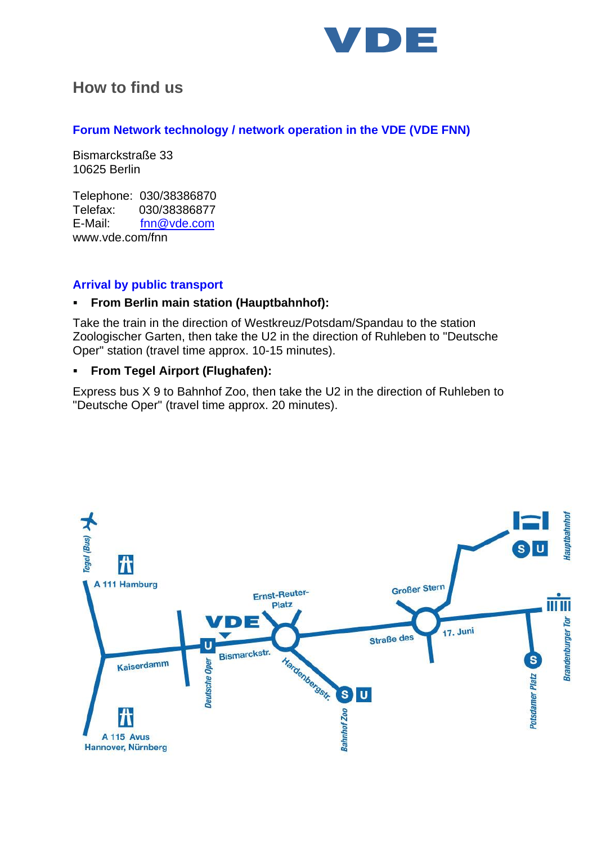

# **How to find us**

### **Forum Network technology / network operation in the VDE (VDE FNN)**

Bismarckstraße 33 10625 Berlin

Telephone: 030/38386870 Telefax: 030/38386877 E-Mail: [fnn@vde.com](mailto:fnn@vde.com)  [www.vde.com/fnn](http://www.vde.com/fnn)

## **Arrival by public transport**

### ▪ **From Berlin main station (Hauptbahnhof):**

Take the train in the direction of Westkreuz/Potsdam/Spandau to the station Zoologischer Garten, then take the U2 in the direction of Ruhleben to "Deutsche Oper" station (travel time approx. 10-15 minutes).

### ▪ **From Tegel Airport (Flughafen):**

Express bus X 9 to Bahnhof Zoo, then take the U2 in the direction of Ruhleben to "Deutsche Oper" (travel time approx. 20 minutes).